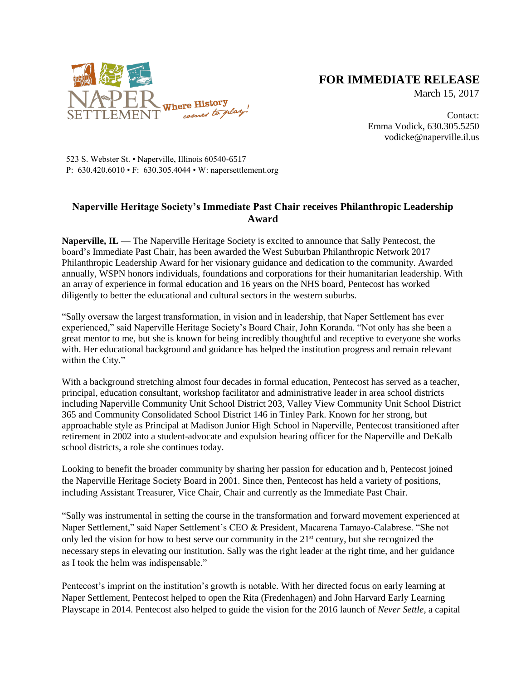

## **FOR IMMEDIATE RELEASE**

March 15, 2017

Contact: Emma Vodick, 630.305.5250 vodicke@naperville.il.us

523 S. Webster St. • Naperville, Illinois 60540-6517 P: 630.420.6010 • F: 630.305.4044 • W: napersettlement.org

## **Naperville Heritage Society's Immediate Past Chair receives Philanthropic Leadership Award**

**Naperville, IL —** The Naperville Heritage Society is excited to announce that Sally Pentecost, the board's Immediate Past Chair, has been awarded the West Suburban Philanthropic Network 2017 Philanthropic Leadership Award for her visionary guidance and dedication to the community. Awarded annually, WSPN honors individuals, foundations and corporations for their humanitarian leadership. With an array of experience in formal education and 16 years on the NHS board, Pentecost has worked diligently to better the educational and cultural sectors in the western suburbs.

"Sally oversaw the largest transformation, in vision and in leadership, that Naper Settlement has ever experienced," said Naperville Heritage Society's Board Chair, John Koranda. "Not only has she been a great mentor to me, but she is known for being incredibly thoughtful and receptive to everyone she works with. Her educational background and guidance has helped the institution progress and remain relevant within the City."

With a background stretching almost four decades in formal education, Pentecost has served as a teacher, principal, education consultant, workshop facilitator and administrative leader in area school districts including Naperville Community Unit School District 203, Valley View Community Unit School District 365 and Community Consolidated School District 146 in Tinley Park. Known for her strong, but approachable style as Principal at Madison Junior High School in Naperville, Pentecost transitioned after retirement in 2002 into a student-advocate and expulsion hearing officer for the Naperville and DeKalb school districts, a role she continues today.

Looking to benefit the broader community by sharing her passion for education and h, Pentecost joined the Naperville Heritage Society Board in 2001. Since then, Pentecost has held a variety of positions, including Assistant Treasurer, Vice Chair, Chair and currently as the Immediate Past Chair.

"Sally was instrumental in setting the course in the transformation and forward movement experienced at Naper Settlement," said Naper Settlement's CEO & President, Macarena Tamayo-Calabrese. "She not only led the vision for how to best serve our community in the  $21<sup>st</sup>$  century, but she recognized the necessary steps in elevating our institution. Sally was the right leader at the right time, and her guidance as I took the helm was indispensable."

Pentecost's imprint on the institution's growth is notable. With her directed focus on early learning at Naper Settlement, Pentecost helped to open the Rita (Fredenhagen) and John Harvard Early Learning Playscape in 2014. Pentecost also helped to guide the vision for the 2016 launch of *Never Settle*, a capital